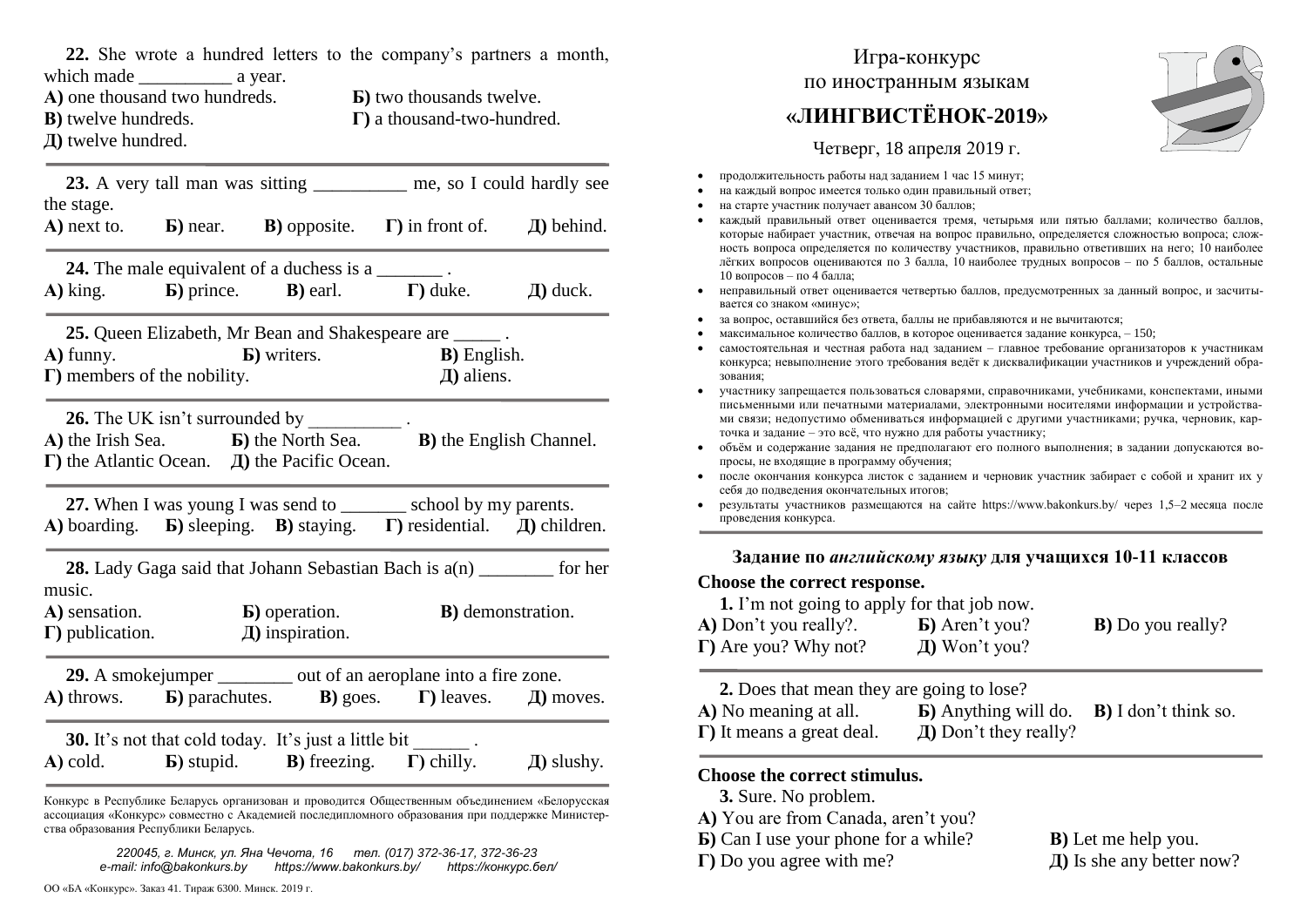**22.** She wrote a hundred letters to the company's partners a month, which made \_\_\_\_\_\_\_\_\_\_ a year. **А)** one thousand two hundreds. **Б)** two thousands twelve. **В)** twelve hundreds. **Г)** a thousand-two-hundred. **Д)** twelve hundred. **23.** A very tall man was sitting me, so I could hardly see the stage. **А)** next to. **Б)** near. **В)** opposite. **Г)** in front of. **Д)** behind. **24.** The male equivalent of a duchess is a **А)** king. **Б)** prince. **В)** earl. **Г)** duke. **Д)** duck. **25.** Queen Elizabeth, Mr Bean and Shakespeare are \_\_\_\_\_ . **А)** funny. **Б)** writers. **В)** English. **Г)** members of the nobility. **Д)** aliens. **26.** The UK isn't surrounded by \_\_\_\_\_\_\_\_\_\_ . **А)** the Irish Sea. **Б)** the North Sea. **В)** the English Channel. **Г)** the Atlantic Ocean. **Д)** the Pacific Ocean. 27. When I was young I was send to school by my parents. **А)** boarding. **Б)** sleeping. **В)** staying. **Г)** residential. **Д)** children. **28.** Lady Gaga said that Johann Sebastian Bach is  $a(n)$  for her music. **А)** sensation. **Б)** operation. **В)** demonstration. **Г)** publication. **Д)** inspiration. **29.** A smoke jumper out of an aeroplane into a fire zone. **А)** throws. **Б)** parachutes. **В)** goes. **Г)** leaves. **Д)** moves. **30.** It's not that cold today. It's just a little bit . **А)** cold. **Б)** stupid. **В)** freezing. **Г)** chilly. **Д)** slushy.

Конкурс в Республике Беларусь организован и проводится Общественным объединением «Белорусская ассоциация «Конкурс» совместно с Академией последипломного образования при поддержке Министерства образования Республики Беларусь.

*220045, г. Минск, ул. Яна Чечота, 16 тел. (017) 372-36-17, 372-36-23 e-mail: info@bakonkurs.by https://www.bakonkurs.by/ https://конкурс.бел/*

## Игра-конкурс по иностранным языкам

# **«ЛИНГВИСТЁНОК-2019»**

Четверг, 18 апреля 2019 г.

- продолжительность работы над заданием 1 час 15 минут;
- на каждый вопрос имеется только один правильный ответ;
- на старте участник получает авансом 30 баллов;
- каждый правильный ответ оценивается тремя, четырьмя или пятью баллами; количество баллов, которые набирает участник, отвечая на вопрос правильно, определяется сложностью вопроса; сложность вопроса определяется по количеству участников, правильно ответивших на него; 10 наиболее лёгких вопросов оцениваются по 3 балла, 10 наиболее трудных вопросов – по 5 баллов, остальные 10 вопросов – по 4 балла;
- неправильный ответ оценивается четвертью баллов, предусмотренных за данный вопрос, и засчитывается со знаком «минус»;
- за вопрос, оставшийся без ответа, баллы не прибавляются и не вычитаются;
- максимальное количество баллов, в которое оценивается задание конкурса, 150;
- самостоятельная и честная работа над заданием главное требование организаторов к участникам конкурса; невыполнение этого требования ведёт к дисквалификации участников и учреждений образования;
- участнику запрещается пользоваться словарями, справочниками, учебниками, конспектами, иными письменными или печатными материалами, электронными носителями информации и устройствами связи; недопустимо обмениваться информацией с другими участниками; ручка, черновик, карточка и задание – это всё, что нужно для работы участнику;
- объём и содержание задания не предполагают его полного выполнения; в задании допускаются вопросы, не входящие в программу обучения;
- после окончания конкурса листок с заданием и черновик участник забирает с собой и хранит их у себя до подведения окончательных итогов;
- результаты участников размещаются на сайте https://www.bakonkurs.by/ через 1,5–2 месяца после проведения конкурса.

**Задание по** *английскому языку* **для учащихся 10-11 классов** 

#### **Choose the correct response.**

**1.** I'm not going to apply for that job now. **А)** Don't you really?. **Б)** Aren't you? **В)** Do you really? **Г)** Are you? Why not? **Д)** Won't you?

**2.** Does that mean they are going to lose?

| A) No meaning at all.             | <b>b</b> ) Anything will do. <b>B</b> ) I don't think so. |  |
|-----------------------------------|-----------------------------------------------------------|--|
| $\Gamma$ ) It means a great deal. | $\pi$ ) Don't they really?                                |  |

#### **Choose the correct stimulus.**

- **3.** Sure. No problem.
- **А)** You are from Canada, aren't you?
- **Б)** Can I use your phone for a while? **В)** Let me help you.
- 

**Г)** Do you agree with me? **Д)** Is she any better now?